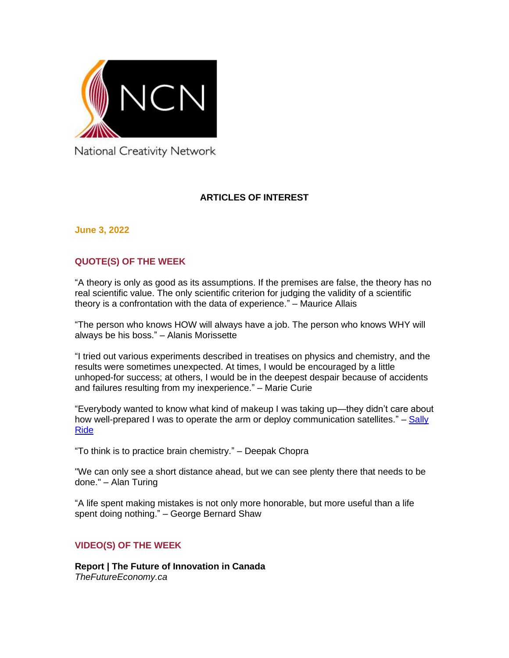

National Creativity Network

## **ARTICLES OF INTEREST**

**June 3, 2022**

## **QUOTE(S) OF THE WEEK**

"A theory is only as good as its assumptions. If the premises are false, the theory has no real scientific value. The only scientific criterion for judging the validity of a scientific theory is a confrontation with the data of experience." – Maurice Allais

"The person who knows HOW will always have a job. The person who knows WHY will always be his boss." – Alanis Morissette

"I tried out various experiments described in treatises on physics and chemistry, and the results were sometimes unexpected. At times, I would be encouraged by a little unhoped-for success; at others, I would be in the deepest despair because of accidents and failures resulting from my inexperience." – Marie Curie

"Everybody wanted to know what kind of makeup I was taking up—they didn't care about how well-prepared I was to operate the arm or deploy communication satellites." – Sally [Ride](https://www.nationalgeographic.com/history/article/sally-ride-blazed-trail-women-astronauts)

"To think is to practice brain chemistry." – Deepak Chopra

"We can only see a short distance ahead, but we can see plenty there that needs to be done." – Alan Turing

"A life spent making mistakes is not only more honorable, but more useful than a life spent doing nothing." – George Bernard Shaw

#### **VIDEO(S) OF THE WEEK**

**[Report | The Future of Innovation in Canada](https://youtu.be/gHZhPnz7KSg)** *TheFutureEconomy.ca*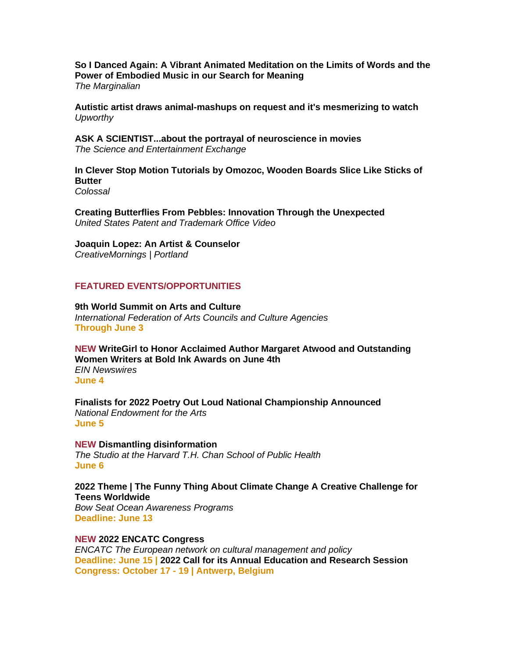**So [I Danced Again: A Vibrant Animated Meditation on the Limits of Words and the](https://www.themarginalian.org/2022/05/25/so-i-danced-again-lottie-kingslake/)  [Power of Embodied Music in our Search for Meaning](https://www.themarginalian.org/2022/05/25/so-i-danced-again-lottie-kingslake/)** *The Marginalian*

**[Autistic artist draws animal-mashups on request and it's mesmerizing to watch](https://www.upworthy.com/autistic-artist-creates-incredible-animal-mashups)** *Upworthy*

**[ASK A SCIENTIST...about the portrayal of neuroscience in movies](https://youtu.be/HLdPNrATMkM)** *The Science and Entertainment Exchange*

**[In Clever Stop Motion Tutorials by Omozoc, Wooden Boards Slice Like Sticks of](https://www.thisiscolossal.com/2022/06/omozoc-stop-motion-woodworking/)  [Butter](https://www.thisiscolossal.com/2022/06/omozoc-stop-motion-woodworking/)** *Colossal*

**Creating Butterflies From [Pebbles: Innovation Through the Unexpected](https://youtu.be/9u9GjmuLQts)** *United States Patent and Trademark Office Video*

**[Joaquin Lopez: An Artist & Counselor](https://creativemornings.com/talks/joaquin-lopez-in-person)**

*CreativeMornings | Portland*

#### **FEATURED EVENTS/OPPORTUNITIES**

**[9th World Summit on Arts and Culture](https://www.artsummit.org/)** *International Federation of Arts Councils and Culture Agencies* **Through June 3**

**NEW [WriteGirl to Honor Acclaimed Author Margaret Atwood and Outstanding](https://www.einnews.com/pr_news/574658090/writegirl-to-honor-acclaimed-author-margaret-atwood-and-outstanding-women-writers-at-bold-ink-awards-on-june-4th)  [Women Writers at Bold Ink Awards on June 4th](https://www.einnews.com/pr_news/574658090/writegirl-to-honor-acclaimed-author-margaret-atwood-and-outstanding-women-writers-at-bold-ink-awards-on-june-4th)** *EIN Newswires* **June 4**

**[Finalists for 2022 Poetry Out Loud National Championship Announced](https://www.arts.gov/about/news/2022/finalists-2022-poetry-out-loud-national-championship-announced)** *National Endowment for the Arts* **June 5**

**NEW [Dismantling disinformation](https://www.hsph.harvard.edu/event/dismantling-disinformation/)** *The Studio at the Harvard T.H. Chan School of Public Health* **June 6**

**[2022 Theme | The Funny Thing About Climate Change A Creative Challenge for](https://bowseat.org/programs/ocean-awareness-contest/contest-overview/)  [Teens Worldwide](https://bowseat.org/programs/ocean-awareness-contest/contest-overview/)**

*Bow Seat Ocean Awareness Programs* **Deadline: June 13**

**NEW [2022 ENCATC Congress](https://www.encatc.org/en/events/detail/2022-encatc-congress/)**

*ENCATC The European network on cultural management and policy* **Deadline: June 15 | [2022 Call for its Annual Education and Research Session](https://www.encatc.org/en/call-for-abstracts-and-teaching-demonstrations/) Congress: October 17 - 19 | Antwerp, Belgium**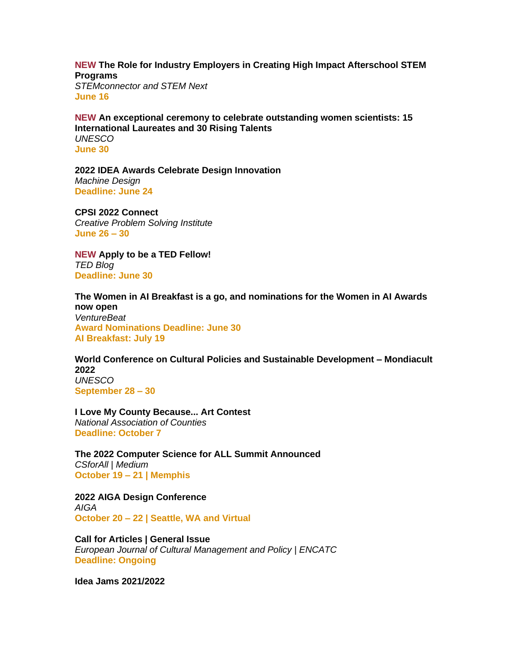**NEW [The Role for Industry Employers in Creating High Impact Afterschool STEM](https://stemconnector.zoom.us/webinar/register/WN_EmQT5KQmQhe3wLlRJeRy7g)  [Programs](https://stemconnector.zoom.us/webinar/register/WN_EmQT5KQmQhe3wLlRJeRy7g)**

*STEMconnector and STEM Next* **June 16**

**NEW [An exceptional ceremony to celebrate outstanding women scientists: 15](https://www.unesco.org/en/articles/exceptional-ceremony-celebrate-outstanding-women-scientists-15-international-laureates-and)  [International Laureates and 30 Rising Talents](https://www.unesco.org/en/articles/exceptional-ceremony-celebrate-outstanding-women-scientists-15-international-laureates-and)** *UNESCO* **June 30**

**[2022 IDEA Awards Celebrate Design Innovation](https://www.machinedesign.com/community/article/21241324/2022-idea-awards-celebrate-design-innovation)** *Machine Design* **Deadline: June 24**

**[CPSI 2022 Connect](https://cpsiconference.com/)**

*Creative Problem Solving Institute* **June 26 – 30** 

**NEW [Apply to be a TED Fellow!](https://blog.ted.com/apply-to-be-a-ted-fellow-2/)** *TED Blog* **Deadline: June 30**

**[The Women in AI Breakfast is a go, and nominations for the Women in AI Awards](https://venturebeat.com/2022/05/18/the-women-in-ai-breakfast-is-a-go-and-nominations-for-the-women-in-ai-awards-now-open/)  [now open](https://venturebeat.com/2022/05/18/the-women-in-ai-breakfast-is-a-go-and-nominations-for-the-women-in-ai-awards-now-open/)** *VentureBeat*

**Award Nominations Deadline: June 30 AI Breakfast: July 19**

**[World Conference on Cultural Policies and Sustainable Development –](https://www.unesco.org/en/mondiacult2022) Mondiacult [2022](https://www.unesco.org/en/mondiacult2022)** *UNESCO* **September 28 – 30** 

**[I Love My County Because... Art Contest](https://www.naco.org/resources/i-love-my-county-because-art-contest)** *National Association of Counties* **Deadline: October 7**

**[The 2022 Computer Science for ALL Summit Announced](https://csforall.medium.com/the-2022-computer-science-for-all-summit-announced-dcb5d9c93667)** *CSforAll | Medium* **October 19 – 21 | Memphis**

**[2022 AIGA Design Conference](https://www.aiga.org/design/design-conferences/aiga-design-conference)** *AIGA* **October 20 – 22 | Seattle, WA and Virtual**

**[Call for Articles | General Issue](https://www.encatc.org/en/upcoming-issues-and-call-for-articles/)** *European Journal of Cultural Management and Policy | ENCATC* **Deadline: Ongoing**

**[Idea Jams 2021/2022](https://canadiannetworkforimaginationandcreativity.com/registerhere)**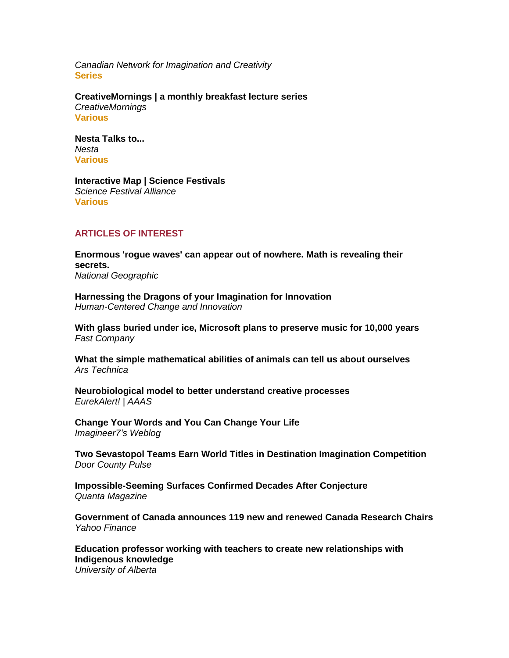*Canadian Network for Imagination and Creativity* **Series**

**[CreativeMornings | a monthly breakfast lecture series](http://www.creativemornings.com/)** *CreativeMornings* **Various**

**[Nesta Talks to...](https://www.nesta.org.uk/feature/nesta-talks-to/)** *Nesta* **Various**

**[Interactive Map | Science Festivals](https://sciencefestivals.org/festivals/)** *Science Festival Alliance* **Various**

#### **ARTICLES OF INTEREST**

**[Enormous 'rogue waves' can appear out of nowhere. Math is revealing their](https://www.nationalgeographic.com/science/article/mathematicians-may-soon-be-able-to-predict-enormous-rogue-waves)  [secrets.](https://www.nationalgeographic.com/science/article/mathematicians-may-soon-be-able-to-predict-enormous-rogue-waves)** *National Geographic*

**[Harnessing the Dragons of your Imagination for Innovation](https://bradenkelley.com/2022/06/harnessing-the-dragons-of-your-imagination-for-innovation/)** *Human-Centered Change and Innovation*

**[With glass buried under ice, Microsoft plans to preserve music for 10,000 years](https://www.fastcompany.com/90757574/with-glass-buried-under-ice-microsoft-plans-to-preserve-music-for-10000-years)** *Fast Company*

**[What the simple mathematical abilities of animals can tell us about ourselves](https://arstechnica.com/science/2022/06/what-the-simple-mathematical-abilities-of-animals-can-tell-us-about-ourselves/)** *Ars Technica*

**[Neurobiological model to better understand creative processes](https://www.eurekalert.org/news-releases/954308)** *EurekAlert! | AAAS*

**[Change Your Words and You Can Change Your Life](https://imagine-er7.com/2022/06/03/change-your-words-and-you-can-change-your-life/)** *Imagineer7's Weblog*

**[Two Sevastopol Teams Earn World Titles in Destination Imagination Competition](https://doorcountypulse.com/two-sevastopol-reams-earn-world-titles-in-destination-imagination-competition/)** *Door County Pulse*

**[Impossible-Seeming Surfaces Confirmed](https://www.quantamagazine.org/impossible-seeming-surfaces-confirmed-decades-after-conjecture-20220602/) Decades After Conjecture** *Quanta Magazine* 

**[Government of Canada announces 119 new and renewed Canada Research Chairs](https://ca.finance.yahoo.com/news/government-canada-announces-119-renewed-171900782.html)** *Yahoo Finance*

**[Education professor working with teachers to create new relationships with](https://www.ualberta.ca/folio/2022/06/education-professor-working-with-teachers-to-create-new-relationships-with-indigenous-knowledge.html)  [Indigenous knowledge](https://www.ualberta.ca/folio/2022/06/education-professor-working-with-teachers-to-create-new-relationships-with-indigenous-knowledge.html)** *University of Alberta*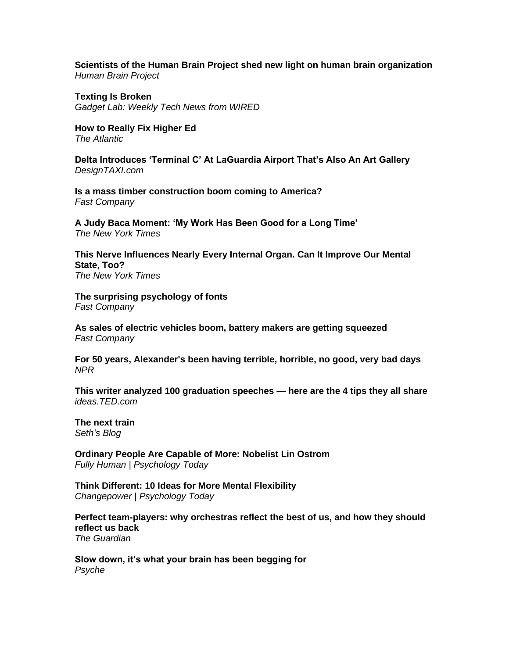**[Scientists of the Human Brain Project shed new light on human brain organization](https://www.humanbrainproject.eu/en/follow-hbp/news/2022/06/02/scientists-human-brain-project-shed-new-light-human-brain-organisation/)** *Human Brain Project*

**[Texting Is Broken](https://podcasts.apple.com/us/podcast/texting-is-broken/id266391367)** *Gadget Lab: Weekly Tech News from WIRED*

**[How to Really Fix Higher Ed](https://www.theatlantic.com/ideas/archive/2022/05/student-loans-forgiveness-higher-ed/639438/)** *The Atlantic*

**[Delta Introduces 'Terminal C' At LaGuardia Airport That's Also An Art Gallery](https://designtaxi.com/news/418898/Delta-Introduces-Terminal-C-At-LaGuardia-Airport-That-s-Also-An-Art-Gallery/)** *DesignTAXI.com*

**[Is a mass timber construction boom coming to America?](https://www.fastcompany.com/90756578/is-a-mass-timber-construction-boom-coming-to-america)** *Fast Company*

**[A Judy Baca Moment: 'My Work Has Been Good for a Long Time'](https://www.nytimes.com/2022/06/02/arts/design/judith-baca-mural-art-getty.html)** *The New York Times*

**[This Nerve Influences Nearly Every Internal Organ. Can It Improve Our Mental](https://www.nytimes.com/2022/06/02/well/mind/vagus-nerve-mental-health.html)  [State, Too?](https://www.nytimes.com/2022/06/02/well/mind/vagus-nerve-mental-health.html)**

*The New York Times*

**[The surprising psychology of fonts](https://www.fastcompany.com/90757581/the-surprising-psychology-of-fonts)** *Fast Company*

**[As sales of electric vehicles boom, battery makers are getting squeezed](https://www.fastcompany.com/90757147/consumers-ev-future-is-bright-the-same-cant-be-said-for-battery-makers)** *Fast Company* 

**[For 50 years, Alexander's been having terrible, horrible, no good, very bad days](https://www.npr.org/2022/06/01/1102134950/for-50-years-alexanders-been-having-terrible-horrible-no-good-very-bad-days)** *NPR*

**[This writer analyzed 100 graduation speeches —](https://ideas.ted.com/100-graduation-commencement-speeches-common-tips-advice/) here are the 4 tips they all share** *ideas.TED.com*

**[The next train](https://seths.blog/2022/06/the-next-train/)** *Seth's Blog*

**[Ordinary People Are Capable of More: Nobelist Lin Ostrom](https://cdn.psychologytoday.com/us/blog/fully-human/202206/ordinary-people-are-capable-more-nobelist-lin-ostrom)** *Fully Human | Psychology Today*

**[Think Different: 10 Ideas for More Mental Flexibility](https://cdn.psychologytoday.com/us/blog/changepower/202206/think-different-10-ideas-more-mental-flexibility)** *Changepower | Psychology Today*

**[Perfect team-players: why orchestras reflect the best of us, and how they should](https://www.theguardian.com/music/2022/jun/01/conductor-charles-hazlewood-paraorchestra-reinventing-the-orchestra-sky-arts)  [reflect us back](https://www.theguardian.com/music/2022/jun/01/conductor-charles-hazlewood-paraorchestra-reinventing-the-orchestra-sky-arts)** *The Guardian* 

**[Slow down, it's what your brain has been begging for](https://psyche.co/ideas/slow-down-its-what-your-brain-has-been-begging-for)** *Psyche*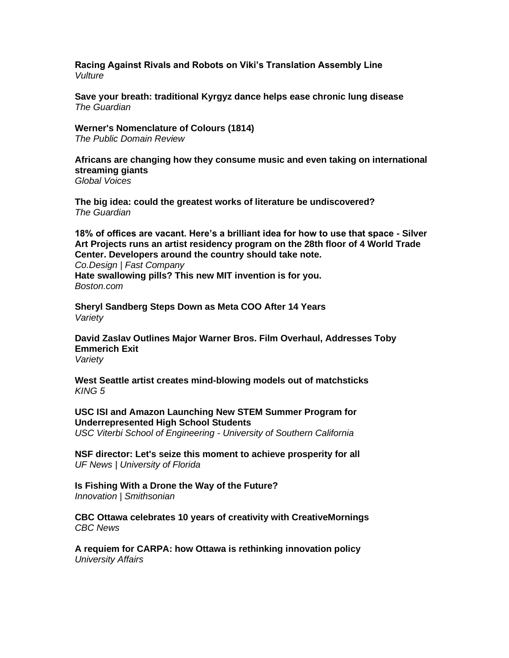**[Racing Against Rivals and Robots on Viki's Translation Assembly Line](https://www.vulture.com/article/rakuten-viki-volunteer-stories.html)** *Vulture*

**[Save your breath: traditional Kyrgyz dance helps ease chronic lung disease](https://www.theguardian.com/global-development/2022/may/26/traditional-dance-helps-ease-chronic-lung-disease-in-kyrgyzstan-acc)** *The Guardian*

**[Werner's Nomenclature of Colours \(1814\)](https://publicdomainreview.org/collection/werner-s-nomenclature-of-colours-1814)** *The Public Domain Review*

**[Africans are changing how they consume music and even taking on international](https://globalvoices.org/2022/05/24/africans-are-changing-how-they-consume-music-and-even-taking-on-international-streaming-giants/)  [streaming giants](https://globalvoices.org/2022/05/24/africans-are-changing-how-they-consume-music-and-even-taking-on-international-streaming-giants/)** *Global Voices*

**[The big idea: could the greatest works of literature be undiscovered?](https://www.theguardian.com/books/2022/may/30/the-big-idea-could-the-greatest-works-of-literature-be-undiscovered)** *The Guardian*

**[18% of offices are vacant. Here's a brilliant idea for how to use that space -](https://www.fastcompany.com/90757105/18-of-offices-are-vacant-heres-a-brilliant-idea-for-how-to-use-that-space) Silver [Art Projects runs an artist residency program on the 28th floor of 4 World Trade](https://www.fastcompany.com/90757105/18-of-offices-are-vacant-heres-a-brilliant-idea-for-how-to-use-that-space)  [Center. Developers around the country should take note.](https://www.fastcompany.com/90757105/18-of-offices-are-vacant-heres-a-brilliant-idea-for-how-to-use-that-space)**

*Co.Design | Fast Company* **[Hate swallowing pills? This new MIT invention is for you.](https://www.boston.com/news/local-news/2022/05/31/hate-swallowing-pills-this-new-mit-invention-is-for-you/)** *Boston.com*

**[Sheryl Sandberg Steps Down as Meta COO After 14 Years](https://variety.com/2022/digital/news/sheryl-sandberg-meta-coo-1235282791/)** *Variety*

**[David Zaslav Outlines Major Warner Bros. Film Overhaul, Addresses Toby](https://variety.com/2022/film/news/david-zaslav-warner-bros-restructure-dc-films-1235282953/)  [Emmerich Exit](https://variety.com/2022/film/news/david-zaslav-warner-bros-restructure-dc-films-1235282953/)** *Variety*

**[West Seattle artist creates mind-blowing models out of matchsticks](https://www.king5.com/article/entertainment/television/programs/evening/west-seattle-artist-creates-mind-blowing-models-out-of-matchsticks/281-60d837d6-cc8c-470d-8ba7-d7ae33fd92d9)** *KING 5*

**[USC ISI and Amazon Launching New STEM Summer Program for](https://viterbischool.usc.edu/news/2022/06/usc-isi-and-amazon-launching-new-stem-summer-program-for-underrepresented-high-school-students/)  [Underrepresented High School Students](https://viterbischool.usc.edu/news/2022/06/usc-isi-and-amazon-launching-new-stem-summer-program-for-underrepresented-high-school-students/)** *USC Viterbi School of Engineering - University of Southern California*

**[NSF director: Let's seize this moment to achieve prosperity for all](https://news.ufl.edu/2022/06/from-florida-episode-18/)** *UF News | University of Florida* 

**[Is Fishing With a Drone the Way of the Future?](https://www.smithsonianmag.com/innovation/is-fishing-with-a-drone-the-way-of-the-future-180980177/)** *Innovation | Smithsonian*

**[CBC Ottawa celebrates 10 years of creativity with CreativeMornings](https://www.cbc.ca/news/canada/ottawa/community/cbc-ottawa-celebrates-10-years-of-creativity-with-creativemornings-1.6473651)** *CBC News*

**[A requiem for CARPA: how Ottawa is rethinking innovation policy](https://www.universityaffairs.ca/news/news-article/a-requiem-for-carpa-how-ottawa-is-rethinking-innovation-policy/)** *University Affairs*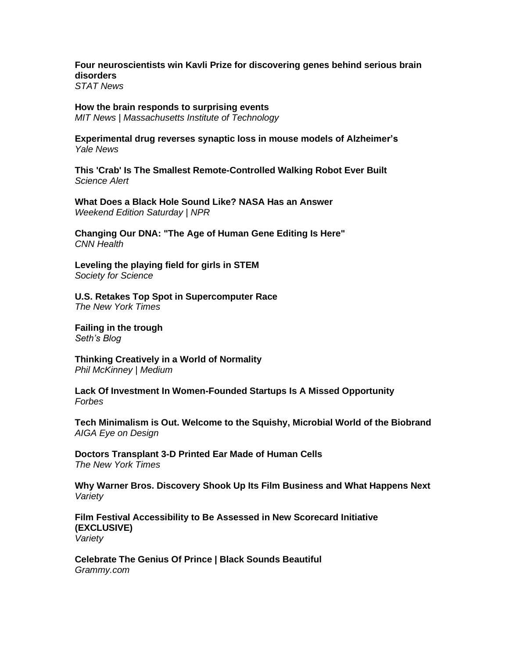**[Four neuroscientists win Kavli Prize for discovering genes behind serious brain](https://www.statnews.com/2022/06/01/neuroscientists-win-kavli-prize-discovering-genes-behind-serious-brain-disorders/)  [disorders](https://www.statnews.com/2022/06/01/neuroscientists-win-kavli-prize-discovering-genes-behind-serious-brain-disorders/)**

*STAT News* 

# **[How the brain responds to surprising events](https://news.mit.edu/2022/noradrenaline-brain-surprise-0601)**

*MIT News | Massachusetts Institute of Technology*

**[Experimental drug reverses synaptic loss in mouse models of Alzheimer's](https://news.yale.edu/2022/06/01/experimental-drug-reverses-synaptic-loss-mouse-models-alzheimers)** *Yale News*

**[This 'Crab' Is The Smallest Remote-Controlled Walking Robot Ever Built](https://www.sciencealert.com/tiny-robo-crab-is-the-smallest-ever-remote-controlled-walking-robot)** *Science Alert*

**[What Does a Black Hole Sound Like? NASA Has an Answer](https://www.npr.org/2022/05/28/1101763397/black-hole-sound-nasa)** *Weekend Edition Saturday | NPR*

**[Changing Our DNA: "The Age of Human Gene Editing Is Here"](Changing%20our%20DNA:%20)** *CNN Health*

**[Leveling the playing field for girls in STEM](https://www.societyforscience.org/blog/leveling-the-playing-field-for-girls-in-stem/)** *Society for Science*

**[U.S. Retakes Top Spot in Supercomputer Race](https://www.nytimes.com/2022/05/30/business/us-supercomputer-frontier.html)** *The New York Times*

**[Failing in the trough](https://seths.blog/2022/06/failing-in-the-trough/)** *Seth's Blog*

**[Thinking Creatively in a World of Normality](https://philmckinney.medium.com/thinking-creatively-in-a-world-of-normality-330e70169b1f)** *Phil McKinney | Medium*

**[Lack Of Investment In Women-Founded Startups Is A Missed Opportunity](https://www.forbes.com/sites/forbesfinancecouncil/2022/05/31/lack-of-investment-in-women-founded-startups-is-a-missed-opportunity/)** *Forbes*

**[Tech Minimalism is Out. Welcome to the Squishy, Microbial World of the Biobrand](https://eyeondesign.aiga.org/tech-minimalism-is-out-welcome-to-the-squishy-microbial-world-of-the-biobrand/)** *AIGA Eye on Design* 

**[Doctors Transplant 3-D Printed Ear Made of Human Cells](https://www.nytimes.com/2022/06/02/health/ear-transplant-3d-printer.html)** *The New York Times*

**[Why Warner Bros. Discovery Shook Up Its Film Business and What Happens Next](https://variety.com/2022/film/news/warner-bros-leadership-shakeup-toby-emmerich-exit-michael-de-luca-pam-abdy-1235282831/)** *Variety*

**[Film Festival Accessibility to Be Assessed in New Scorecard Initiative](https://variety.com/2022/film/global/cannes-disability-accessibility-scorecard-1235281345/)  [\(EXCLUSIVE\)](https://variety.com/2022/film/global/cannes-disability-accessibility-scorecard-1235281345/)** *Variety*

**[Celebrate The Genius Of Prince | Black Sounds Beautiful](https://www.grammy.com/videos/2021-black-sounds-beautiful-celebrate-genius-of-prince)** *Grammy.com*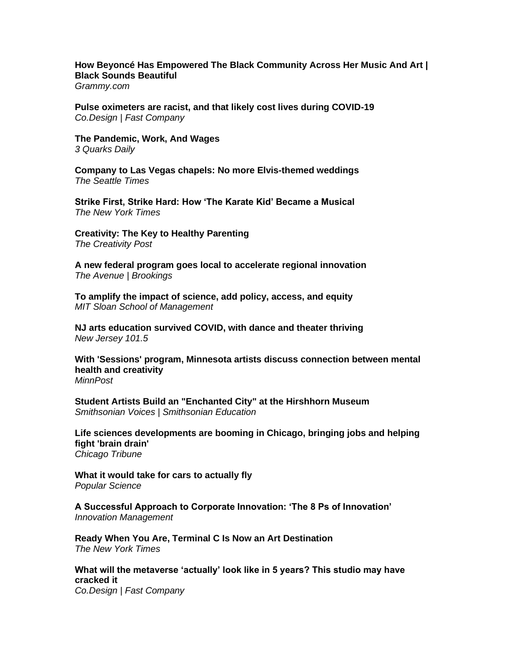#### **[How Beyoncé Has Empowered The Black Community Across Her Music And Art |](https://www.grammy.com/videos/beyonce-black-power-empowerment-black-sounds-beautiful)  [Black Sounds Beautiful](https://www.grammy.com/videos/beyonce-black-power-empowerment-black-sounds-beautiful)**

*Grammy.com*

**[Pulse oximeters are racist, and that likely cost lives during COVID-19](https://www.fastcompany.com/90757080/pulse-oximeters-are-racist-and-that-likely-cost-lives-during-covid)** *Co.Design | Fast Company*

**[The Pandemic, Work, And Wages](https://3quarksdaily.com/3quarksdaily/2022/05/the-pandemic-work-and-wages.html)** *3 Quarks Daily*

**[Company to Las Vegas chapels: No more Elvis-themed weddings](https://www.seattletimes.com/business/elvis-image-bans-shake-rattle-and-roll-las-vegas-chapels/)** *The Seattle Times*

**[Strike First, Strike Hard: How 'The Karate Kid' Became a Musical](https://www.nytimes.com/2022/06/01/theater/karate-kid-musical.html)** *The New York Times*

**[Creativity: The Key to Healthy Parenting](https://www.creativitypost.com/education/creativity-the-key-to-healthy-parenting)** *The Creativity Post*

**[A new federal program goes local to accelerate regional innovation](https://www.brookings.edu/blog/the-avenue/2022/05/31/a-bottom-up-regional-innovation-program-launches-at-the-national-science-foundation/)** *The Avenue | Brookings* 

**[To amplify the impact of science, add policy, access, and equity](https://mitsloan.mit.edu/ideas-made-to-matter/to-amplify-impact-science-add-policy-access-and-equity)** *MIT Sloan School of Management*

**[NJ arts education survived COVID, with dance and theater thriving](https://nj1015.com/nj-arts-education-survived-covid-with-dance-and-theater-thriving/)** *New Jersey 101.5*

**[With 'Sessions' program, Minnesota artists discuss connection between mental](https://www.minnpost.com/mental-health-addiction/2022/05/with-sessions-program-minnesota-artists-discuss-connection-between-mental-health-and-creativity/)  [health and creativity](https://www.minnpost.com/mental-health-addiction/2022/05/with-sessions-program-minnesota-artists-discuss-connection-between-mental-health-and-creativity/)** *MinnPost*

**[Student Artists Build an "Enchanted City" at the Hirshhorn Museum](https://www.smithsonianmag.com/blogs/smithsonian-education/2022/05/31/student-artists-build-an-enchanted-city-at-the-hirshhorn-museum/)** *Smithsonian Voices | Smithsonian Education*

**[Life sciences developments are booming in Chicago, bringing jobs and helping](https://www.chicagotribune.com/business/ct-biz-real-estate-development-life-sciences-20220531-aj7m3zfwrzhsbe5qg2z6qkuyni-story.html)  [fight 'brain drain'](https://www.chicagotribune.com/business/ct-biz-real-estate-development-life-sciences-20220531-aj7m3zfwrzhsbe5qg2z6qkuyni-story.html)** *Chicago Tribune*

**[What it would take for cars to actually fly](https://www.popsci.com/aviation/history-of-flying-cars/)** *Popular Science*

**[A Successful Approach to Corporate Innovation: 'The 8 Ps of Innovation'](https://innovationmanagement.se/2020/05/26/a-successful-approach-to-corporate-innovation-the-8-ps-of-innovation/)** *Innovation Management*

**[Ready When You Are, Terminal C Is Now an Art Destination](https://www.nytimes.com/2022/06/01/arts/design/la-guardia-delta-terminal-c-art.html)** *The New York Times*

**[What will the metaverse 'actually' look like in 5 years? This studio may have](https://www.fastcompany.com/90756665/what-will-the-metaverse-actually-look-like-in-5-years-one-studio-thinks-theyve-cracked-it)  [cracked it](https://www.fastcompany.com/90756665/what-will-the-metaverse-actually-look-like-in-5-years-one-studio-thinks-theyve-cracked-it)** *Co.Design | Fast Company*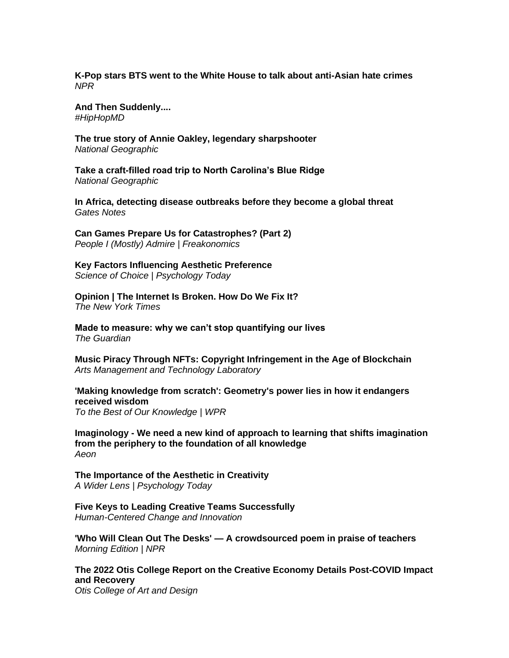**[K-Pop stars BTS went to the White House to talk about anti-Asian hate crimes](https://www.npr.org/2022/05/31/1102244756/k-pop-stars-bts-went-to-the-white-house-to-talk-about-anti-asian-hate-crimes)** *NPR*

**[And Then Suddenly....](https://www.hiphopscienceshow.com/post/and-then-suddenly)** *#HipHopMD*

**[The true story of Annie Oakley, legendary sharpshooter](https://www.nationalgeographic.com/history/article/the-true-story-of-annie-oakley-legendary-sharpshooter)** *National Geographic*

**[Take a craft-filled road trip to North Carolina's Blue Ridge](https://www.nationalgeographic.com/travel/article/take-a-craft-filled-road-trip-to-north-carolinas-blue-ridge)** *National Geographic*

**[In Africa, detecting disease outbreaks before they become a global threat](https://www.gatesnotes.com/Health/Heroes-in-the-Field-Sofonias-Tessema)** *Gates Notes*

**[Can Games Prepare Us for Catastrophes? \(Part 2\)](https://freakonomics.com/podcast/can-games-prepare-us-for-catastrophes/)** *People I (Mostly) Admire | Freakonomics*

**[Key Factors Influencing Aesthetic Preference](https://cdn.psychologytoday.com/us/blog/science-choice/202206/key-factors-influencing-aesthetic-preference)** *Science of Choice | Psychology Today*

**[Opinion | The Internet Is Broken. How Do We Fix It?](https://www.nytimes.com/2022/05/27/opinion/technology/what-would-an-egalitarian-internet-actually-look-like.html)** *The New York Times*

**[Made to measure: why we can't stop quantifying our lives](https://www.theguardian.com/news/2022/may/26/measurement-why-we-cant-stop-quantifying-our-lives)** *The Guardian*

**[Music Piracy Through NFTs: Copyright Infringement in the Age of Blockchain](https://amt-lab.org/blog/2022/5/nfts-an-easy-target-for-copyright-infringement-in-the-music-industry)** *Arts Management and Technology Laboratory*

**['Making knowledge from scratch': Geometry's power lies in how it endangers](https://www.wpr.org/making-knowledge-scratch-geometrys-power-lies-how-it-endangers-received-wisdom)  [received wisdom](https://www.wpr.org/making-knowledge-scratch-geometrys-power-lies-how-it-endangers-received-wisdom)** *To the Best of Our Knowledge | WPR*

**Imaginology - [We need a new kind of approach to learning that shifts imagination](https://aeon.co/essays/why-we-need-a-new-kind-of-education-imagination-studies)  [from the periphery to the foundation of all knowledge](https://aeon.co/essays/why-we-need-a-new-kind-of-education-imagination-studies)** *Aeon* 

**[The Importance of the Aesthetic in Creativity](https://cdn.psychologytoday.com/us/blog/wider-lens/202205/the-importance-the-aesthetic-in-creativity)** *A Wider Lens | Psychology Today*

**[Five Keys to Leading Creative Teams Successfully](https://bradenkelley.com/2022/05/five-keys-to-leading-creative-teams-successfully/)** *Human-Centered Change and Innovation*

**'Who Will Clean Out The Desks' — [A crowdsourced poem in praise of teachers](https://www.npr.org/2022/05/31/1102065218/crowdsourced-poem-teachers-kwame-alexander)** *Morning Edition | NPR*

**[The 2022 Otis College Report on the Creative Economy Details Post-COVID Impact](https://www.otis.edu/news/2022-otis-college-report-creative-economy)  [and Recovery](https://www.otis.edu/news/2022-otis-college-report-creative-economy)** *Otis College of Art and Design*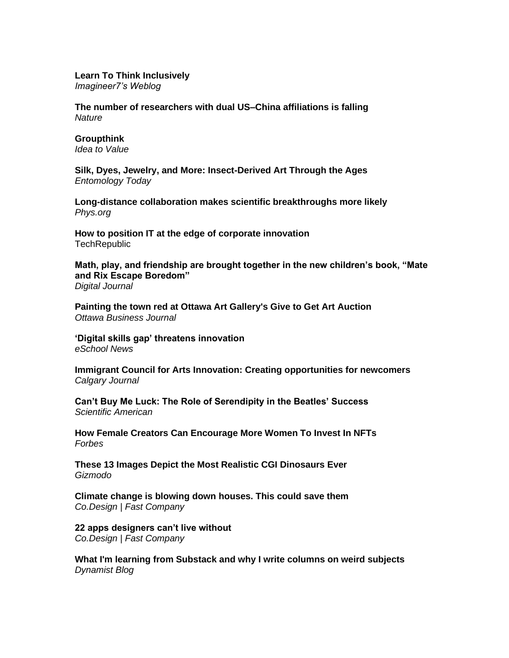#### **[Learn To Think Inclusively](https://imagine-er7.com/2022/05/30/learn-to-think-inclusively/)**

*Imagineer7's Weblog*

**[The number of researchers with dual US–China affiliations is falling](https://www.nature.com/articles/d41586-022-01492-7)** *Nature*

# **[Groupthink](https://www.ideatovalue.com/crea/nickskillicorn/2022/05/groupthink/)**

*Idea to Value*

**[Silk, Dyes, Jewelry, and More: Insect-Derived Art Through the Ages](https://entomologytoday.org/2022/05/31/silk-dyes-jewelry-more-insect-derived-art-through-ages/)** *Entomology Today*

**[Long-distance collaboration makes scientific breakthroughs more likely](https://phys.org/news/2022-05-long-distance-collaboration-scientific-breakthroughs.html)** *Phys.org*

**[How to position IT at the edge of corporate innovation](https://www.techrepublic.com/article/position-it-edge-corporate-innovation/) TechRepublic** 

**[Math, play, and friendship are brought together in the new children's book, "Mate](https://www.digitaljournal.com/pr/math-play-and-friendship-are-brought-together-in-the-new-childrens-book-mate-and-rix-escape-boredom)  [and Rix Escape Boredom"](https://www.digitaljournal.com/pr/math-play-and-friendship-are-brought-together-in-the-new-childrens-book-mate-and-rix-escape-boredom)** *Digital Journal*

**[Painting the town red at Ottawa Art Gallery's Give to Get Art Auction](https://obj.ca/article/social/painting-town-red-ottawa-art-gallerys-give-get-art-auction)** *Ottawa Business Journal*

**['Digital skills gap' threatens innovation](https://www.eschoolnews.com/2022/05/30/digital-skills-gap-threatens-innovation/)** *eSchool News*

**[Immigrant Council for Arts Innovation: Creating opportunities for newcomers](https://calgaryjournal.ca/2022/05/30/immigrant-council-for-arts-innovation-creating-opportunities-for-newcomers/)** *Calgary Journal* 

**[Can't Buy Me Luck: The Role of Serendipity in the Beatles' Success](https://www.scientificamerican.com/article/the-beatles-may-owe-some-of-their-success-to-pure-serendipity/)** *Scientific American*

**[How Female Creators Can Encourage More Women To Invest In NFTs](https://www.forbes.com/sites/biancabarratt/2022/05/20/how-female-creators-can-encourage-more-women-to-invest-in-nfts/)** *Forbes*

**[These 13 Images Depict the Most Realistic CGI Dinosaurs Ever](https://gizmodo.com/prehistoric-planet-apple-tv-streaming-dinosaurs-cgi-1848982047)** *Gizmodo*

**[Climate change is blowing down houses. This could save them](https://www.fastcompany.com/90755925/climate-change-is-blowing-down-houses-this-could-save-them)** *Co.Design | Fast Company*

**[22 apps designers can't live without](https://www.fastcompany.com/90755366/22-apps-designers-cant-live-without)** *Co.Design | Fast Company* 

**[What I'm learning from Substack and why I write columns on weird subjects](https://vpostrel.com/blog/what-im-learning-from-substack-and-why-i-write-columns-on-weird-subjects)** *Dynamist Blog*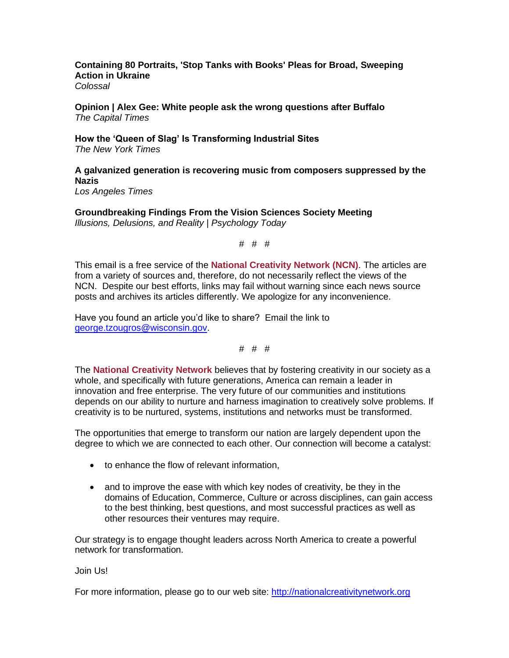**[Containing 80 Portraits, 'Stop Tanks with Books' Pleas for Broad, Sweeping](https://www.thisiscolossal.com/2022/05/mark-neville-stop-tanks-with-books/)  [Action in Ukraine](https://www.thisiscolossal.com/2022/05/mark-neville-stop-tanks-with-books/)** *Colossal*

**[Opinion | Alex Gee: White people ask the wrong questions after Buffalo](https://captimes.com/opinion/paul-fanlund/opinion-alex-gee-white-people-ask-the-wrong-questions-after-buffalo/article_3f8e36db-995e-5f9d-bbb2-bb2a850ed92b.html)** *The Capital Times*

**[How the 'Queen of Slag' Is Transforming Industrial Sites](https://www.nytimes.com/2022/05/30/arts/design/julie-bargmann-landscape-architecture-industrial-urban.html)** *The New York Times*

**[A galvanized generation is recovering music from composers suppressed by the](https://www.latimes.com/entertainment-arts/story/2022-05-29/numi-opera-journey-out-darkness-composers)  [Nazis](https://www.latimes.com/entertainment-arts/story/2022-05-29/numi-opera-journey-out-darkness-composers)** *Los Angeles Times*

**[Groundbreaking Findings From the Vision Sciences Society Meeting](https://cdn.psychologytoday.com/us/blog/illusions-delusions-and-reality/202205/groundbreaking-findings-the-vision-sciences-society)** *Illusions, Delusions, and Reality | Psychology Today* 

# # #

This email is a free service of the **National Creativity Network (NCN)**. The articles are from a variety of sources and, therefore, do not necessarily reflect the views of the NCN. Despite our best efforts, links may fail without warning since each news source posts and archives its articles differently. We apologize for any inconvenience.

Have you found an article you'd like to share? Email the link to [george.tzougros@wisconsin.gov.](mailto:george.tzougros@wisconsin.gov)

# # #

The **National Creativity Network** believes that by fostering creativity in our society as a whole, and specifically with future generations, America can remain a leader in innovation and free enterprise. The very future of our communities and institutions depends on our ability to nurture and harness imagination to creatively solve problems. If creativity is to be nurtured, systems, institutions and networks must be transformed.

The opportunities that emerge to transform our nation are largely dependent upon the degree to which we are connected to each other. Our connection will become a catalyst:

- to enhance the flow of relevant information,
- and to improve the ease with which key nodes of creativity, be they in the domains of Education, Commerce, Culture or across disciplines, can gain access to the best thinking, best questions, and most successful practices as well as other resources their ventures may require.

Our strategy is to engage thought leaders across North America to create a powerful network for transformation.

Join Us!

For more information, please go to our web site: [http://nationalcreativitynetwork.org](http://nationalcreativitynetwork.org/)